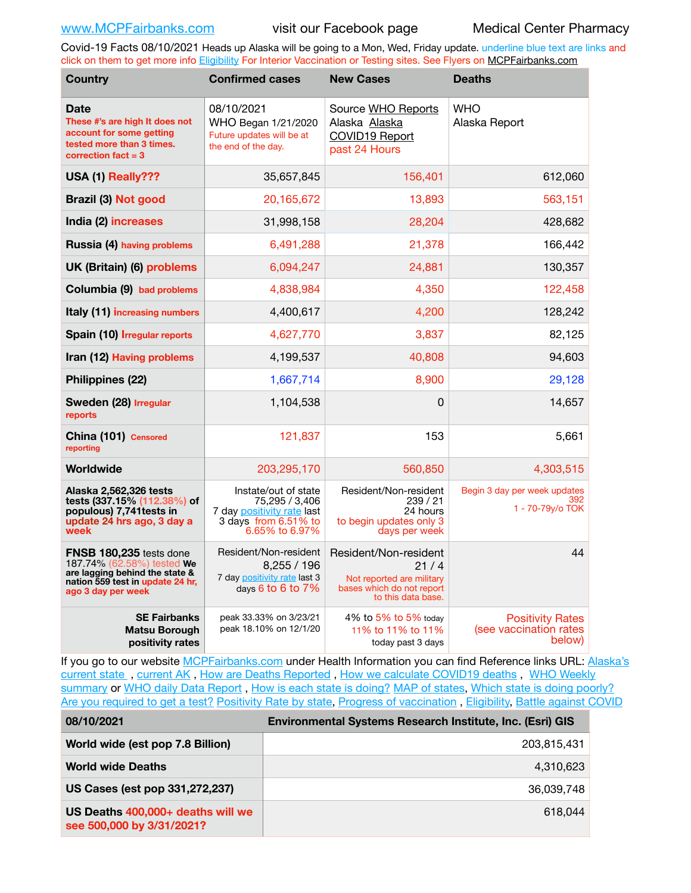Covid-19 Facts 08/10/2021 Heads up Alaska will be going to a Mon, Wed, Friday update. underline blue text are links and click on them to get more info [Eligibility](http://dhss.alaska.gov/dph/Epi/id/Pages/COVID-19/VaccineAvailability.aspx) For Interior Vaccination or Testing sites. See Flyers on [MCPFairbanks.com](http://www.MCPFairbanks.com)

| <b>Country</b>                                                                                                                                           | <b>Confirmed cases</b>                                                                                         | <b>New Cases</b>                                                                                                | <b>Deaths</b>                                               |
|----------------------------------------------------------------------------------------------------------------------------------------------------------|----------------------------------------------------------------------------------------------------------------|-----------------------------------------------------------------------------------------------------------------|-------------------------------------------------------------|
| <b>Date</b><br>These #'s are high It does not<br>account for some getting<br>tested more than 3 times.<br>correction $fact = 3$                          | 08/10/2021<br>WHO Began 1/21/2020<br>Future updates will be at<br>the end of the day.                          | Source WHO Reports<br>Alaska Alaska<br>COVID19 Report<br>past 24 Hours                                          | <b>WHO</b><br>Alaska Report                                 |
| USA (1) Really???                                                                                                                                        | 35,657,845                                                                                                     | 156,401                                                                                                         | 612,060                                                     |
| Brazil (3) Not good                                                                                                                                      | 20,165,672                                                                                                     | 13,893                                                                                                          | 563,151                                                     |
| India (2) increases                                                                                                                                      | 31,998,158                                                                                                     | 28,204                                                                                                          | 428,682                                                     |
| Russia (4) having problems                                                                                                                               | 6,491,288                                                                                                      | 21,378                                                                                                          | 166,442                                                     |
| UK (Britain) (6) problems                                                                                                                                | 6,094,247                                                                                                      | 24,881                                                                                                          | 130,357                                                     |
| Columbia (9) bad problems                                                                                                                                | 4,838,984                                                                                                      | 4,350                                                                                                           | 122,458                                                     |
| Italy (11) increasing numbers                                                                                                                            | 4,400,617                                                                                                      | 4,200                                                                                                           | 128,242                                                     |
| Spain (10) Irregular reports                                                                                                                             | 4,627,770                                                                                                      | 3,837                                                                                                           | 82,125                                                      |
| Iran (12) Having problems                                                                                                                                | 4,199,537                                                                                                      | 40,808                                                                                                          | 94,603                                                      |
| Philippines (22)                                                                                                                                         | 1,667,714                                                                                                      | 8,900                                                                                                           | 29,128                                                      |
| Sweden (28) Irregular<br>reports                                                                                                                         | 1,104,538                                                                                                      | 0                                                                                                               | 14,657                                                      |
| China (101) Censored<br>reporting                                                                                                                        | 121,837                                                                                                        | 153                                                                                                             | 5,661                                                       |
| Worldwide                                                                                                                                                | 203,295,170                                                                                                    | 560,850                                                                                                         | 4,303,515                                                   |
| Alaska 2,562,326 tests<br>tests (337.15% (112.38%) of<br>populous) 7,741 tests in<br>update 24 hrs ago, 3 day a<br>week                                  | Instate/out of state<br>75,295 / 3,406<br>7 day positivity rate last<br>3 days from 6.51% to<br>6.65% to 6.97% | Resident/Non-resident<br>239/21<br>24 hours<br>to begin updates only 3<br>days per week                         | Begin 3 day per week updates<br>392<br>1 - 70-79y/o TOK     |
| <b>FNSB 180,235</b> tests done<br>187.74% (62.58%) tested We<br>are lagging behind the state &<br>nation 559 test in update 24 hr,<br>ago 3 day per week | Resident/Non-resident<br>8,255 / 196<br>7 day positivity rate last 3<br>days 6 to 6 to 7%                      | Resident/Non-resident<br>21 / 4<br>Not reported are military<br>bases which do not report<br>to this data base. | 44                                                          |
| <b>SE Fairbanks</b><br><b>Matsu Borough</b><br>positivity rates                                                                                          | peak 33.33% on 3/23/21<br>peak 18.10% on 12/1/20                                                               | 4% to 5% to 5% today<br>11% to 11% to 11%<br>today past 3 days                                                  | <b>Positivity Rates</b><br>(see vaccination rates<br>below) |

If you go to our website [MCPFairbanks.com](http://www.MCPFairbanks.com) under Health Information you can find Reference links URL: Alaska's current state, current AK, [How are Deaths Reported](http://dhss.alaska.gov/dph/Epi/id/Pages/COVID-19/deathcounts.aspx), [How we calculate COVID19 deaths](https://coronavirus-response-alaska-dhss.hub.arcgis.com/search?collection=Document&groupIds=41ccb3344ebc4bd682c74073eba21f42), WHO Weekly [summary](http://www.who.int) or [WHO daily Data Report](https://covid19.who.int/table), [How is each state is doing?](https://www.msn.com/en-us/news/us/state-by-state-coronavirus-news/ar-BB13E1PX?fbclid=IwAR0_OBJH7lSyTN3ug_MsOeFnNgB1orTa9OBgilKJ7dhnwlVvHEsptuKkj1c) [MAP of states,](https://www.nationalgeographic.com/science/graphics/graphic-tracking-coronavirus-infections-us?cmpid=org=ngp::mc=crm-email::src=ngp::cmp=editorial::add=SpecialEdition_20210305&rid=B9A6DF5992658E8E35CE023113CFEA4C) [Which state is doing poorly?](https://bestlifeonline.com/covid-outbreak-your-state/?utm_source=nsltr&utm_medium=email&utm_content=covid-outbreak-your-state&utm_campaign=launch) [Are you required to get a test?](http://dhss.alaska.gov/dph/Epi/id/SiteAssets/Pages/HumanCoV/Whattodoafteryourtest.pdf) [Positivity Rate by state](https://coronavirus.jhu.edu/testing/individual-states/alaska), [Progress of vaccination](https://covid.cdc.gov/covid-data-tracker/#vaccinations) , [Eligibility,](http://dhss.alaska.gov/dph/Epi/id/Pages/COVID-19/VaccineAvailability.aspx) [Battle against COVID](https://www.nationalgeographic.com/science/graphics/graphic-tracking-coronavirus-infections-us?cmpid=org=ngp::mc=crm-email::src=ngp::cmp=editorial::add=SpecialEdition_20210219&rid=B9A6DF5992658E8E35CE023113CFEA4C)

| 08/10/2021                                                     | <b>Environmental Systems Research Institute, Inc. (Esri) GIS</b> |  |
|----------------------------------------------------------------|------------------------------------------------------------------|--|
| World wide (est pop 7.8 Billion)                               | 203,815,431                                                      |  |
| <b>World wide Deaths</b>                                       | 4.310.623                                                        |  |
| US Cases (est pop 331,272,237)                                 | 36,039,748                                                       |  |
| US Deaths 400,000+ deaths will we<br>see 500,000 by 3/31/2021? | 618.044                                                          |  |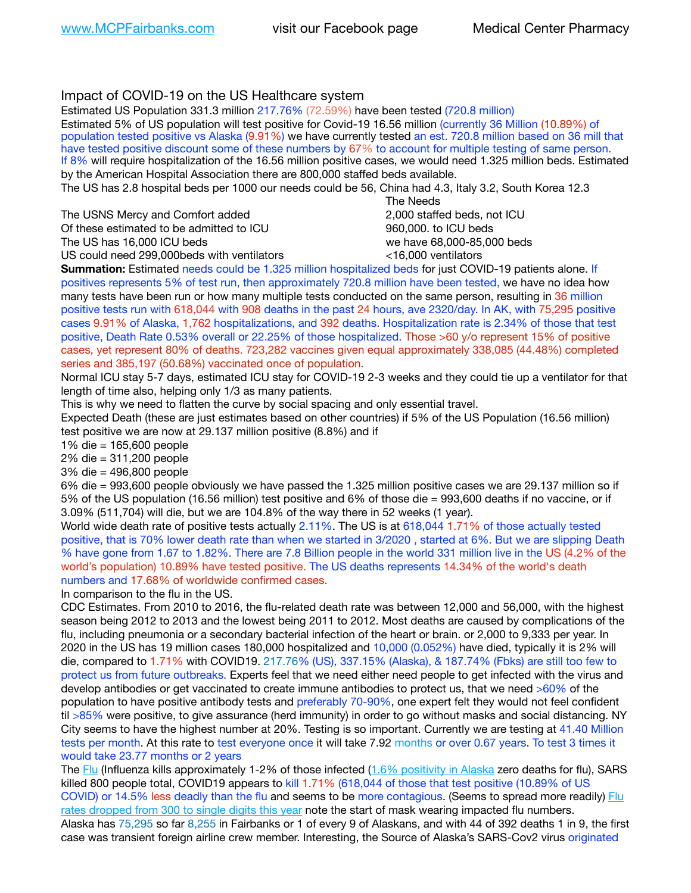## Impact of COVID-19 on the US Healthcare system

Estimated US Population 331.3 million 217.76% (72.59%) have been tested (720.8 million) Estimated 5% of US population will test positive for Covid-19 16.56 million (currently 36 Million (10.89%) of population tested positive vs Alaska (9.91%) we have currently tested an est. 720.8 million based on 36 mill that have tested positive discount some of these numbers by 67% to account for multiple testing of same person. If 8% will require hospitalization of the 16.56 million positive cases, we would need 1.325 million beds. Estimated by the American Hospital Association there are 800,000 staffed beds available. The US has 2.8 hospital beds per 1000 our needs could be 56, China had 4.3, Italy 3.2, South Korea 12.3 The Needs The USNS Mercy and Comfort added 2,000 staffed beds, not ICU Of these estimated to be admitted to ICU 860,000. to ICU beds The US has 16,000 ICU beds we have 68,000-85,000 beds ve have 68,000-85,000 beds US could need 299,000 beds with ventilators  $\leq$ 16,000 ventilators **Summation:** Estimated needs could be 1.325 million hospitalized beds for just COVID-19 patients alone. If positives represents 5% of test run, then approximately 720.8 million have been tested, we have no idea how many tests have been run or how many multiple tests conducted on the same person, resulting in 36 million positive tests run with 618,044 with 908 deaths in the past 24 hours, ave 2320/day. In AK, with 75,295 positive

cases 9.91% of Alaska, 1,762 hospitalizations, and 392 deaths. Hospitalization rate is 2.34% of those that test positive, Death Rate 0.53% overall or 22.25% of those hospitalized. Those >60 y/o represent 15% of positive cases, yet represent 80% of deaths. 723,282 vaccines given equal approximately 338,085 (44.48%) completed series and 385,197 (50.68%) vaccinated once of population.

Normal ICU stay 5-7 days, estimated ICU stay for COVID-19 2-3 weeks and they could tie up a ventilator for that length of time also, helping only 1/3 as many patients.

This is why we need to flatten the curve by social spacing and only essential travel.

Expected Death (these are just estimates based on other countries) if 5% of the US Population (16.56 million) test positive we are now at 29.137 million positive (8.8%) and if

1% die = 165,600 people

2% die = 311,200 people

3% die = 496,800 people

6% die = 993,600 people obviously we have passed the 1.325 million positive cases we are 29.137 million so if 5% of the US population (16.56 million) test positive and 6% of those die = 993,600 deaths if no vaccine, or if 3.09% (511,704) will die, but we are 104.8% of the way there in 52 weeks (1 year).

World wide death rate of positive tests actually 2.11%. The US is at 618,044 1.71% of those actually tested positive, that is 70% lower death rate than when we started in 3/2020 , started at 6%. But we are slipping Death % have gone from 1.67 to 1.82%. There are 7.8 Billion people in the world 331 million live in the US (4.2% of the world's population) 10.89% have tested positive. The US deaths represents 14.34% of the world's death numbers and 17.68% of worldwide confirmed cases.

In comparison to the flu in the US.

CDC Estimates. From 2010 to 2016, the flu-related death rate was between 12,000 and 56,000, with the highest season being 2012 to 2013 and the lowest being 2011 to 2012. Most deaths are caused by complications of the flu, including pneumonia or a secondary bacterial infection of the heart or brain. or 2,000 to 9,333 per year. In 2020 in the US has 19 million cases 180,000 hospitalized and 10,000 (0.052%) have died, typically it is 2% will die, compared to 1.71% with COVID19. 217.76% (US), 337.15% (Alaska), & 187.74% (Fbks) are still too few to protect us from future outbreaks. Experts feel that we need either need people to get infected with the virus and develop antibodies or get vaccinated to create immune antibodies to protect us, that we need >60% of the population to have positive antibody tests and preferably 70-90%, one expert felt they would not feel confident til >85% were positive, to give assurance (herd immunity) in order to go without masks and social distancing. NY City seems to have the highest number at 20%. Testing is so important. Currently we are testing at 41.40 Million tests per month. At this rate to test everyone once it will take 7.92 months or over 0.67 years. To test 3 times it would take 23.77 months or 2 years

The [Flu](https://lnks.gd/l/eyJhbGciOiJIUzI1NiJ9.eyJidWxsZXRpbl9saW5rX2lkIjoxMDMsInVyaSI6ImJwMjpjbGljayIsImJ1bGxldGluX2lkIjoiMjAyMTAyMjYuMzYwNDA3NTEiLCJ1cmwiOiJodHRwczovL3d3dy5jZGMuZ292L2ZsdS93ZWVrbHkvb3ZlcnZpZXcuaHRtIn0.ePMA_hsZ-pTnhWSyg1gHvHWYTu2XceVOt0JejxvP1WE/s/500544915/br/98428119752-l) (Influenza kills approximately 1-2% of those infected ([1.6% positivity in Alaska](http://dhss.alaska.gov/dph/Epi/id/SiteAssets/Pages/influenza/trends/Snapshot.pdf) zero deaths for flu), SARS killed 800 people total, COVID19 appears to kill 1.71% (618,044 of those that test positive (10.89% of US COVID) or 14.5% less deadly than the flu and seems to be more contagious. (Seems to spread more readily) [Flu](https://lnks.gd/l/eyJhbGciOiJIUzI1NiJ9.eyJidWxsZXRpbl9saW5rX2lkIjoxMDEsInVyaSI6ImJwMjpjbGljayIsImJ1bGxldGluX2lkIjoiMjAyMTAyMjYuMzYwNDA3NTEiLCJ1cmwiOiJodHRwOi8vZGhzcy5hbGFza2EuZ292L2RwaC9FcGkvaWQvUGFnZXMvaW5mbHVlbnphL2ZsdWluZm8uYXNweCJ9.oOe3nt2fww6XpsNhb4FZfmtPfPa-irGaldpkURBJhSo/s/500544915/br/98428119752-l)  [rates dropped from 300 to single digits this year](https://lnks.gd/l/eyJhbGciOiJIUzI1NiJ9.eyJidWxsZXRpbl9saW5rX2lkIjoxMDEsInVyaSI6ImJwMjpjbGljayIsImJ1bGxldGluX2lkIjoiMjAyMTAyMjYuMzYwNDA3NTEiLCJ1cmwiOiJodHRwOi8vZGhzcy5hbGFza2EuZ292L2RwaC9FcGkvaWQvUGFnZXMvaW5mbHVlbnphL2ZsdWluZm8uYXNweCJ9.oOe3nt2fww6XpsNhb4FZfmtPfPa-irGaldpkURBJhSo/s/500544915/br/98428119752-l) note the start of mask wearing impacted flu numbers. Alaska has 75,295 so far 8,255 in Fairbanks or 1 of every 9 of Alaskans, and with 44 of 392 deaths 1 in 9, the first case was transient foreign airline crew member. Interesting, the Source of Alaska's SARS-Cov2 virus originated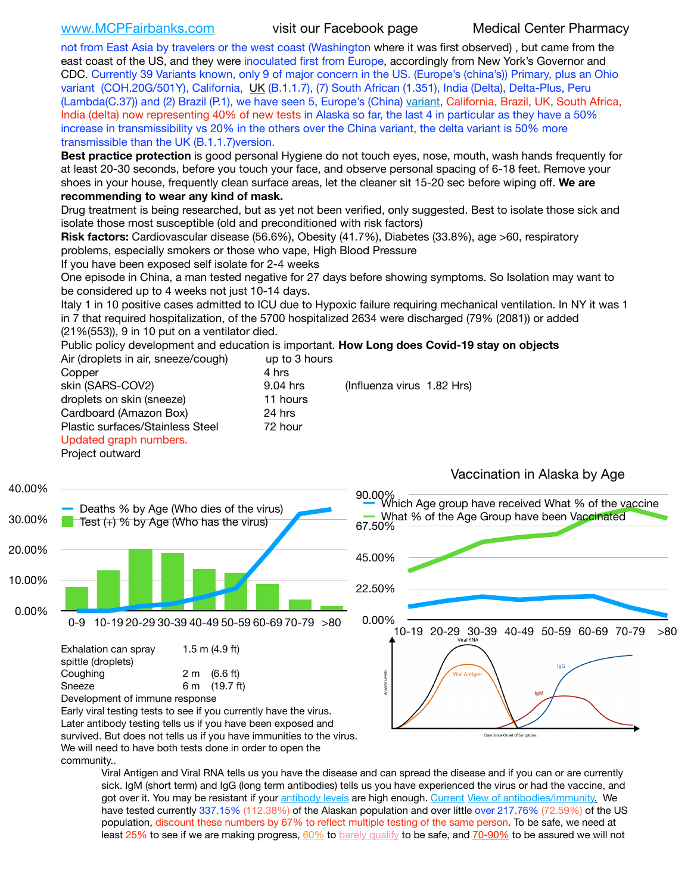[www.MCPFairbanks.com](http://www.MCPFairbanks.com) visit our Facebook page Medical Center Pharmacy

not from East Asia by travelers or the west coast (Washington where it was first observed) , but came from the east coast of the US, and they were inoculated first from Europe, accordingly from New York's Governor and CDC. Currently 39 Variants known, only 9 of major concern in the US. (Europe's (china's)) Primary, plus an Ohio variant (COH.20G/501Y), California, [UK](https://www.cdc.gov/coronavirus/2019-ncov/transmission/variant-cases.html) (B.1.1.7), (7) South African (1.351), India (Delta), Delta-Plus, Peru (Lambda(C.37)) and (2) Brazil (P.1), we have seen 5, Europe's (China) [variant](https://www.webmd.com/lung/news/20210318/cdc-who-create-threat-levels-for-covid-variants?ecd=wnl_cvd_031921&ctr=wnl-cvd-031921&mb=kYbf7DsHb7YGjh/1RUkcAW0T6iorImAU1TDZh18RYs0=_Support_titleLink_2), California, Brazil, UK, South Africa, India (delta) now representing 40% of new tests in Alaska so far, the last 4 in particular as they have a 50% increase in transmissibility vs 20% in the others over the China variant, the delta variant is 50% more transmissible than the UK (B.1.1.7)version.

**Best practice protection** is good personal Hygiene do not touch eyes, nose, mouth, wash hands frequently for at least 20-30 seconds, before you touch your face, and observe personal spacing of 6-18 feet. Remove your shoes in your house, frequently clean surface areas, let the cleaner sit 15-20 sec before wiping off. **We are recommending to wear any kind of mask.**

Drug treatment is being researched, but as yet not been verified, only suggested. Best to isolate those sick and isolate those most susceptible (old and preconditioned with risk factors)

**Risk factors:** Cardiovascular disease (56.6%), Obesity (41.7%), Diabetes (33.8%), age >60, respiratory problems, especially smokers or those who vape, High Blood Pressure

If you have been exposed self isolate for 2-4 weeks

One episode in China, a man tested negative for 27 days before showing symptoms. So Isolation may want to be considered up to 4 weeks not just 10-14 days.

Italy 1 in 10 positive cases admitted to ICU due to Hypoxic failure requiring mechanical ventilation. In NY it was 1 in 7 that required hospitalization, of the 5700 hospitalized 2634 were discharged (79% (2081)) or added (21%(553)), 9 in 10 put on a ventilator died.

Public policy development and education is important. **How Long does Covid-19 stay on objects**

| Air (droplets in air, sneeze/cough) | up to 3 hours |                            |
|-------------------------------------|---------------|----------------------------|
| Copper                              | 4 hrs         |                            |
| skin (SARS-COV2)                    | 9.04 hrs      | (Influenza virus 1.82 Hrs) |
| droplets on skin (sneeze)           | 11 hours      |                            |
| Cardboard (Amazon Box)              | 24 hrs        |                            |
| Plastic surfaces/Stainless Steel    | 72 hour       |                            |
| Updated graph numbers.              |               |                            |
| Project outward                     |               |                            |
|                                     |               |                            |



We will need to have both tests done in order to open the

community..

Viral Antigen and Viral RNA tells us you have the disease and can spread the disease and if you can or are currently sick. IgM (short term) and IgG (long term antibodies) tells us you have experienced the virus or had the vaccine, and got over it. You may be resistant if your [antibody levels](https://www.cdc.gov/coronavirus/2019-ncov/lab/resources/antibody-tests.html) are high enough. [Current](https://l.facebook.com/l.php?u=https://www.itv.com/news/2020-10-26/covid-19-antibody-levels-reduce-over-time-study-finds?fbclid=IwAR3Dapzh1qIH1EIOdUQI2y8THf7jfA4KBCaJz8Qg-8xe1YsrR4nsAHDIXSY&h=AT30nut8pkqp0heVuz5W2rT2WFFm-2Ab52BsJxZZCNlGsX58IpPkuVEPULbIUV_M16MAukx1Kwb657DPXxsgDN1rpOQ4gqBtQsmVYiWpnHPJo2RQsU6CPMd14lgLnQnFWxfVi6zvmw&__tn__=-UK-R&c%5B0%5D=AT1GaRAfR_nGAyqcn7TI1-PpvqOqEKXHnz6TDWvRStMnOSH7boQDvTiwTOc6VId9UES6LKiOmm2m88wKCoolkJyOFvakt2Z1Mw8toYWGGoWW23r0MNVBl7cYJXB_UOvGklNHaNnaNr1_S7NhT3BSykNOBg) [View of antibodies/immunity](https://www.livescience.com/antibodies.html)[.](https://www.itv.com/news/2020-10-26/covid-19-antibody-levels-reduce-over-time-study-finds) We have tested currently 337.15% (112.38%) of the Alaskan population and over little over 217.76% (72.59%) of the US population, discount these numbers by 67% to reflect multiple testing of the same person. To be safe, we need at least 25% to see if we are making progress, [60%](https://www.jhsph.edu/covid-19/articles/achieving-herd-immunity-with-covid19.html) to [barely qualify](https://www.nature.com/articles/d41586-020-02948-4) to be safe, and [70-90%](https://www.mayoclinic.org/herd-immunity-and-coronavirus/art-20486808) to be assured we will not

## Vaccination in Alaska by Age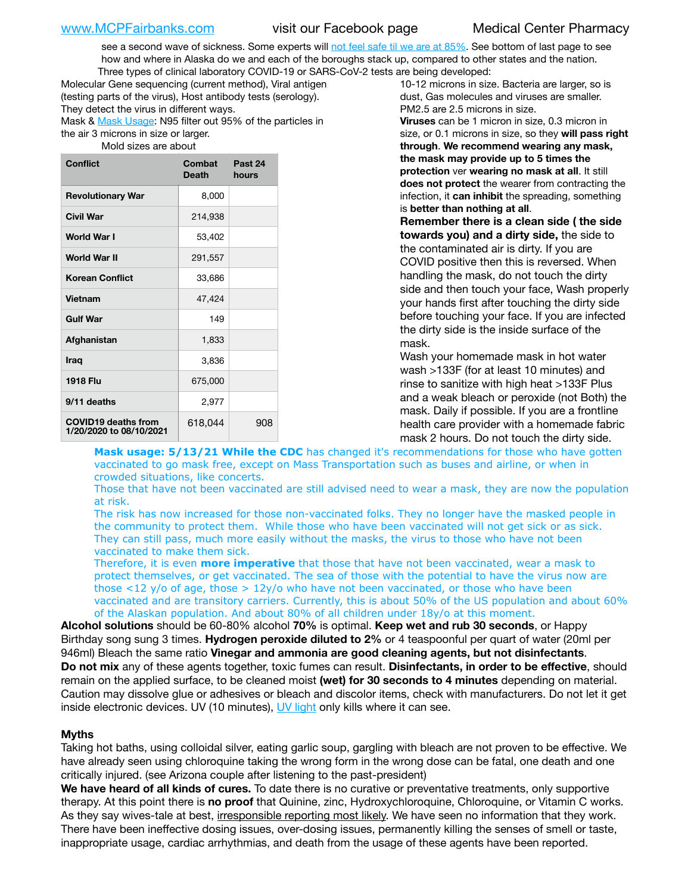see a second wave of sickness. Some experts will [not feel safe til we are at 85%](https://www.bannerhealth.com/healthcareblog/teach-me/what-is-herd-immunity). See bottom of last page to see how and where in Alaska do we and each of the boroughs stack up, compared to other states and the nation. Three types of clinical laboratory COVID-19 or SARS-CoV-2 tests are being developed:

Molecular Gene sequencing (current method), Viral antigen (testing parts of the virus), Host antibody tests (serology). They detect the virus in different ways. Mask & [Mask Usage:](https://www.nationalgeographic.com/history/2020/03/how-cities-flattened-curve-1918-spanish-flu-pandemic-coronavirus/) N95 filter out 95% of the particles in the air 3 microns in size or larger. Mold sizes are about

| <b>Conflict</b>                                       | Combat<br><b>Death</b> | Past 24<br>hours |
|-------------------------------------------------------|------------------------|------------------|
| <b>Revolutionary War</b>                              | 8,000                  |                  |
| Civil War                                             | 214,938                |                  |
| World War I                                           | 53,402                 |                  |
| World War II                                          | 291,557                |                  |
| <b>Korean Conflict</b>                                | 33,686                 |                  |
| <b>Vietnam</b>                                        | 47,424                 |                  |
| <b>Gulf War</b>                                       | 149                    |                  |
| Afghanistan                                           | 1,833                  |                  |
| <b>Iraq</b>                                           | 3,836                  |                  |
| <b>1918 Flu</b>                                       | 675,000                |                  |
| 9/11 deaths                                           | 2,977                  |                  |
| <b>COVID19 deaths from</b><br>1/20/2020 to 08/10/2021 | 618,044                | 908              |

10-12 microns in size. Bacteria are larger, so is dust, Gas molecules and viruses are smaller. PM2.5 are 2.5 microns in size. **Viruses** can be 1 micron in size, 0.3 micron in size, or 0.1 microns in size, so they **will pass right through**. **We recommend wearing any mask, the mask may provide up to 5 times the protection** ver **wearing no mask at all**. It still

**does not protect** the wearer from contracting the infection, it **can inhibit** the spreading, something is **better than nothing at all**.

**Remember there is a clean side ( the side towards you) and a dirty side,** the side to the contaminated air is dirty. If you are COVID positive then this is reversed. When handling the mask, do not touch the dirty side and then touch your face, Wash properly your hands first after touching the dirty side before touching your face. If you are infected the dirty side is the inside surface of the mask.

Wash your homemade mask in hot water wash >133F (for at least 10 minutes) and rinse to sanitize with high heat >133F Plus and a weak bleach or peroxide (not Both) the mask. Daily if possible. If you are a frontline health care provider with a homemade fabric mask 2 hours. Do not touch the dirty side.

Mask usage: 5/13/21 While the CDC has changed it's recommendations for those who have gotten vaccinated to go mask free, except on Mass Transportation such as buses and airline, or when in crowded situations, like concerts.

Those that have not been vaccinated are still advised need to wear a mask, they are now the population at risk.

The risk has now increased for those non-vaccinated folks. They no longer have the masked people in the community to protect them. While those who have been vaccinated will not get sick or as sick. They can still pass, much more easily without the masks, the virus to those who have not been vaccinated to make them sick.

Therefore, it is even **more imperative** that those that have not been vaccinated, wear a mask to protect themselves, or get vaccinated. The sea of those with the potential to have the virus now are those <12 y/o of age, those >  $12y$ /o who have not been vaccinated, or those who have been vaccinated and are transitory carriers. Currently, this is about 50% of the US population and about 60% of the Alaskan population. And about 80% of all children under 18y/o at this moment.

**Alcohol solutions** should be 60-80% alcohol **70%** is optimal. **Keep wet and rub 30 seconds**, or Happy Birthday song sung 3 times. **Hydrogen peroxide diluted to 2%** or 4 teaspoonful per quart of water (20ml per 946ml) Bleach the same ratio **Vinegar and ammonia are good cleaning agents, but not disinfectants**. **Do not mix** any of these agents together, toxic fumes can result. **Disinfectants, in order to be effective**, should remain on the applied surface, to be cleaned moist **(wet) for 30 seconds to 4 minutes** depending on material. Caution may dissolve glue or adhesives or bleach and discolor items, check with manufacturers. Do not let it get inside electronic devices. UV (10 minutes), [UV light](http://www.docreviews.me/best-uv-boxes-2020/?fbclid=IwAR3bvFtXB48OoBBSvYvTEnKuHNPbipxM6jUo82QUSw9wckxjC7wwRZWabGw) only kills where it can see.

## **Myths**

Taking hot baths, using colloidal silver, eating garlic soup, gargling with bleach are not proven to be effective. We have already seen using chloroquine taking the wrong form in the wrong dose can be fatal, one death and one critically injured. (see Arizona couple after listening to the past-president)

**We have heard of all kinds of cures.** To date there is no curative or preventative treatments, only supportive therapy. At this point there is **no proof** that Quinine, zinc, Hydroxychloroquine, Chloroquine, or Vitamin C works. As they say wives-tale at best, irresponsible reporting most likely. We have seen no information that they work. There have been ineffective dosing issues, over-dosing issues, permanently killing the senses of smell or taste, inappropriate usage, cardiac arrhythmias, and death from the usage of these agents have been reported.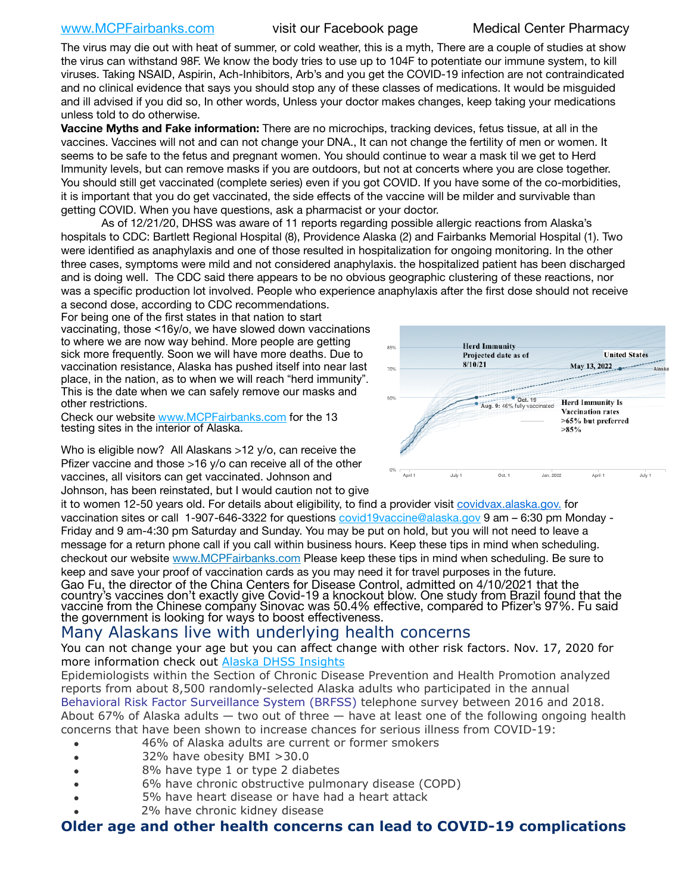## [www.MCPFairbanks.com](http://www.MCPFairbanks.com) visit our Facebook page Medical Center Pharmacy

The virus may die out with heat of summer, or cold weather, this is a myth, There are a couple of studies at show the virus can withstand 98F. We know the body tries to use up to 104F to potentiate our immune system, to kill viruses. Taking NSAID, Aspirin, Ach-Inhibitors, Arb's and you get the COVID-19 infection are not contraindicated and no clinical evidence that says you should stop any of these classes of medications. It would be misguided and ill advised if you did so, In other words, Unless your doctor makes changes, keep taking your medications unless told to do otherwise.

**Vaccine Myths and Fake information:** There are no microchips, tracking devices, fetus tissue, at all in the vaccines. Vaccines will not and can not change your DNA., It can not change the fertility of men or women. It seems to be safe to the fetus and pregnant women. You should continue to wear a mask til we get to Herd Immunity levels, but can remove masks if you are outdoors, but not at concerts where you are close together. You should still get vaccinated (complete series) even if you got COVID. If you have some of the co-morbidities, it is important that you do get vaccinated, the side effects of the vaccine will be milder and survivable than getting COVID. When you have questions, ask a pharmacist or your doctor.

As of 12/21/20, DHSS was aware of 11 reports regarding possible allergic reactions from Alaska's hospitals to CDC: Bartlett Regional Hospital (8), Providence Alaska (2) and Fairbanks Memorial Hospital (1). Two were identified as anaphylaxis and one of those resulted in hospitalization for ongoing monitoring. In the other three cases, symptoms were mild and not considered anaphylaxis. the hospitalized patient has been discharged and is doing well. The CDC said there appears to be no obvious geographic clustering of these reactions, nor was a specific production lot involved. People who experience anaphylaxis after the first dose should not receive a second dose, according to CDC recommendations.

For being one of the first states in that nation to start vaccinating, those <16y/o, we have slowed down vaccinations to where we are now way behind. More people are getting sick more frequently. Soon we will have more deaths. Due to vaccination resistance, Alaska has pushed itself into near last place, in the nation, as to when we will reach "herd immunity". This is the date when we can safely remove our masks and other restrictions.

Check our website [www.MCPFairbanks.com](http://www.MCPFairbanks.com) for the 13 testing sites in the interior of Alaska.

Who is eligible now? All Alaskans >12 y/o, can receive the Pfizer vaccine and those >16 y/o can receive all of the other vaccines, all visitors can get vaccinated. Johnson and Johnson, has been reinstated, but I would caution not to give



it to women 12-50 years old. For details about eligibility, to find a provider visit [covidvax.alaska.gov.](https://lnks.gd/l/eyJhbGciOiJIUzI1NiJ9.eyJidWxsZXRpbl9saW5rX2lkIjoxMDYsInVyaSI6ImJwMjpjbGljayIsImJ1bGxldGluX2lkIjoiMjAyMTAxMjguMzQwODU3NjEiLCJ1cmwiOiJodHRwOi8vZGhzcy5hbGFza2EuZ292L2RwaC9FcGkvaWQvUGFnZXMvQ09WSUQtMTkvdmFjY2luZS5hc3B4In0.-Xwhl42jAWOMS7ewfS85uxwrwjohCso3Sb81DuDKtxU/s/500544915/br/93796640171-l) for vaccination sites or call 1-907-646-3322 for questions [covid19vaccine@alaska.gov](mailto:covid19vaccine@alaska.gov?subject=COVID19%20Vaccine%20questions) 9 am – 6:30 pm Monday - Friday and 9 am-4:30 pm Saturday and Sunday. You may be put on hold, but you will not need to leave a message for a return phone call if you call within business hours. Keep these tips in mind when scheduling. checkout our website [www.MCPFairbanks.com](http://www.MCPFairbanks.com) Please keep these tips in mind when scheduling. Be sure to keep and save your proof of vaccination cards as you may need it for travel purposes in the future. Gao Fu, the director of the China Centers for Disease Control, admitted on 4/10/2021 that the country's vaccines don't exactly give Covid-19 a knockout blow. One study from Brazil found that the vaccine from the Chinese company Sinovac was 50.4% effective, compared to Pfizer's 97%. Fu said the government is looking for ways to boost effectiveness.

# Many Alaskans live with underlying health concerns

You can not change your age but you can affect change with other risk factors. Nov. 17, 2020 for more information check out [Alaska DHSS Insights](http://dhss.alaska.gov/dph/Epi/id/Pages/COVID-19/blog/20201117.aspx)

Epidemiologists within the Section of Chronic Disease Prevention and Health Promotion analyzed reports from about 8,500 randomly-selected Alaska adults who participated in the annual [Behavioral Risk Factor Surveillance System \(BRFSS\)](http://dhss.alaska.gov/dph/Chronic/Pages/brfss/default.aspx) telephone survey between 2016 and 2018. About 67% of Alaska adults — two out of three — have at least one of the following ongoing health concerns that have been shown to increase chances for serious illness from COVID-19:

- 46% of Alaska adults are current or former smokers
- 32% have obesity BMI >30.0
- 8% have type 1 or type 2 diabetes
- 6% have chronic obstructive pulmonary disease (COPD)
- 5% have heart disease or have had a heart attack
- 2% have chronic kidney disease

## **Older age and other health concerns can lead to COVID-19 complications**